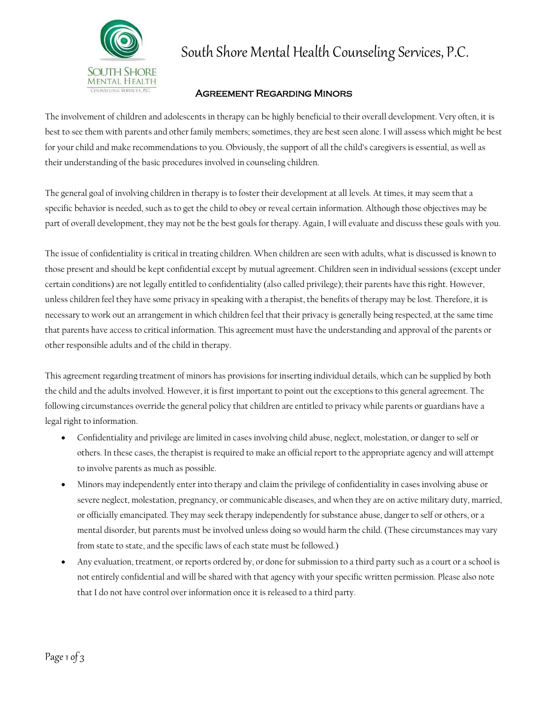

## South Shore Mental Health Counseling Services, P.C.

## Agreement Regarding Minors

The involvement of children and adolescents in therapy can be highly beneficial to their overall development. Very often, it is best to see them with parents and other family members; sometimes, they are best seen alone. I will assess which might be best for your child and make recommendations to you. Obviously, the support of all the child's caregivers is essential, as well as their understanding of the basic procedures involved in counseling children.

The general goal of involving children in therapy is to foster their development at all levels. At times, it may seem that a specific behavior is needed, such as to get the child to obey or reveal certain information. Although those objectives may be part of overall development, they may not be the best goals for therapy. Again, I will evaluate and discuss these goals with you.

The issue of confidentiality is critical in treating children. When children are seen with adults, what is discussed is known to those present and should be kept confidential except by mutual agreement. Children seen in individual sessions (except under certain conditions) are not legally entitled to confidentiality (also called privilege); their parents have this right. However, unless children feel they have some privacy in speaking with a therapist, the benefits of therapy may be lost. Therefore, it is necessary to work out an arrangement in which children feel that their privacy is generally being respected, at the same time that parents have access to critical information. This agreement must have the understanding and approval of the parents or other responsible adults and of the child in therapy.

This agreement regarding treatment of minors has provisions for inserting individual details, which can be supplied by both the child and the adults involved. However, it is first important to point out the exceptions to this general agreement. The following circumstances override the general policy that children are entitled to privacy while parents or guardians have a legal right to information.

- Confidentiality and privilege are limited in cases involving child abuse, neglect, molestation, or danger to self or others. In these cases, the therapist is required to make an official report to the appropriate agency and will attempt to involve parents as much as possible.
- Minors may independently enter into therapy and claim the privilege of confidentiality in cases involving abuse or severe neglect, molestation, pregnancy, or communicable diseases, and when they are on active military duty, married, or officially emancipated. They may seek therapy independently for substance abuse, danger to self or others, or a mental disorder, but parents must be involved unless doing so would harm the child. (These circumstances may vary from state to state, and the specific laws of each state must be followed.)
- Any evaluation, treatment, or reports ordered by, or done for submission to a third party such as a court or a school is not entirely confidential and will be shared with that agency with your specific written permission. Please also note that I do not have control over information once it is released to a third party.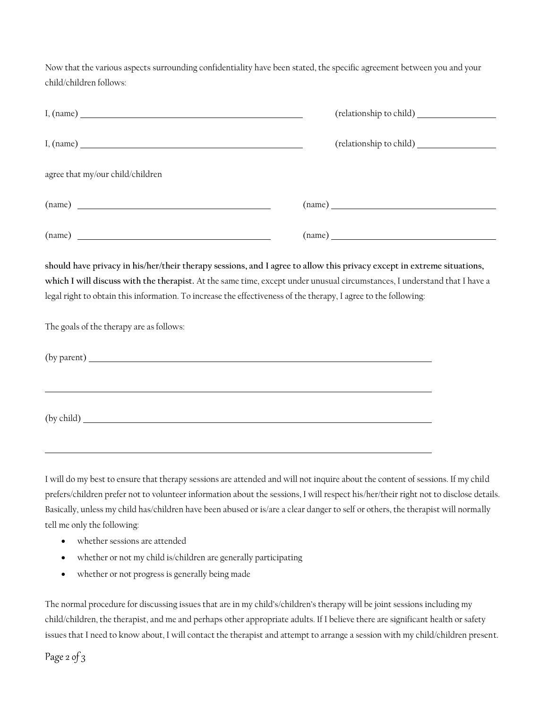Now that the various aspects surrounding confidentiality have been stated, the specific agreement between you and your child/children follows:

| I, (name)                        |        |
|----------------------------------|--------|
| I, (name)                        |        |
| agree that my/our child/children |        |
|                                  |        |
|                                  | (name) |

**should have privacy in his/her/their therapy sessions, and I agree to allow this privacy except in extreme situations, which I will discuss with the therapist.** At the same time, except under unusual circumstances, I understand that I have a legal right to obtain this information. To increase the effectiveness of the therapy, I agree to the following:

The goals of the therapy are as follows:

I will do my best to ensure that therapy sessions are attended and will not inquire about the content of sessions. If my child prefers/children prefer not to volunteer information about the sessions, I will respect his/her/their right not to disclose details. Basically, unless my child has/children have been abused or is/are a clear danger to self or others, the therapist will normally tell me only the following:

- whether sessions are attended
- whether or not my child is/children are generally participating
- whether or not progress is generally being made

The normal procedure for discussing issues that are in my child's/children's therapy will be joint sessions including my child/children, the therapist, and me and perhaps other appropriate adults. If I believe there are significant health or safety issues that I need to know about, I will contact the therapist and attempt to arrange a session with my child/children present.

Page 2 of  $3$